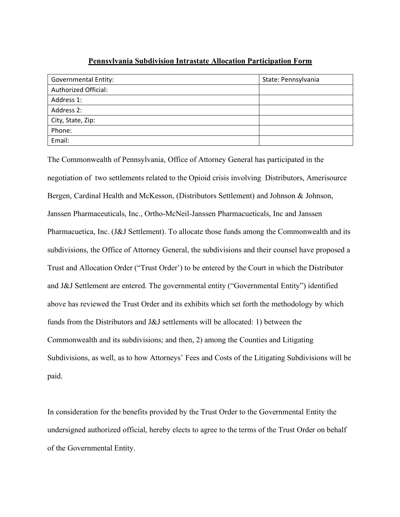## **Pennsylvania Subdivision Intrastate Allocation Participation Form**

| <b>Governmental Entity:</b> | State: Pennsylvania |
|-----------------------------|---------------------|
| Authorized Official:        |                     |
| Address 1:                  |                     |
| Address 2:                  |                     |
| City, State, Zip:           |                     |
| Phone:                      |                     |
| Email:                      |                     |

The Commonwealth of Pennsylvania, Office of Attorney General has participated in the negotiation of two settlements related to the Opioid crisis involving Distributors, Amerisource Bergen, Cardinal Health and McKesson, (Distributors Settlement) and Johnson & Johnson, Janssen Pharmaceuticals, Inc., Ortho-McNeil-Janssen Pharmacueticals, Inc and Janssen Pharmacuetica, Inc. (J&J Settlement). To allocate those funds among the Commonwealth and its subdivisions, the Office of Attorney General, the subdivisions and their counsel have proposed a Trust and Allocation Order ("Trust Order') to be entered by the Court in which the Distributor and J&J Settlement are entered. The governmental entity ("Governmental Entity") identified above has reviewed the Trust Order and its exhibits which set forth the methodology by which funds from the Distributors and J&J settlements will be allocated: 1) between the Commonwealth and its subdivisions; and then, 2) among the Counties and Litigating Subdivisions, as well, as to how Attorneys' Fees and Costs of the Litigating Subdivisions will be paid.

In consideration for the benefits provided by the Trust Order to the Governmental Entity the undersigned authorized official, hereby elects to agree to the terms of the Trust Order on behalf of the Governmental Entity.